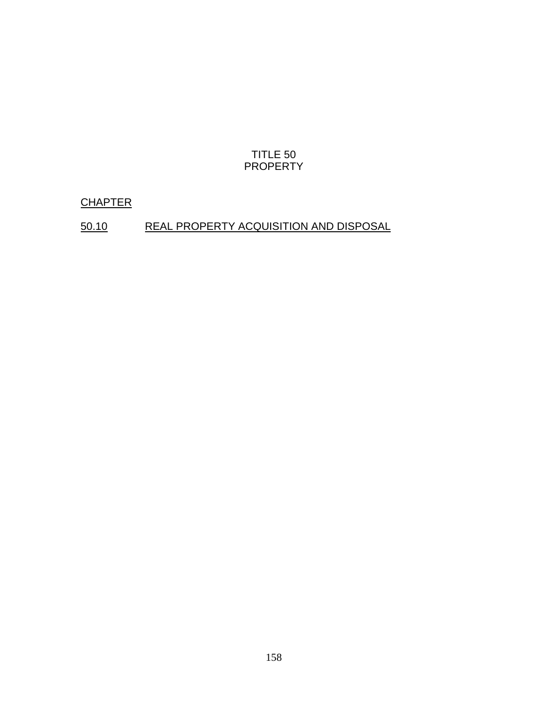## TITLE 50 PROPERTY

## **CHAPTER**

# 50.10 REAL PROPERTY ACQUISITION AND DISPOSAL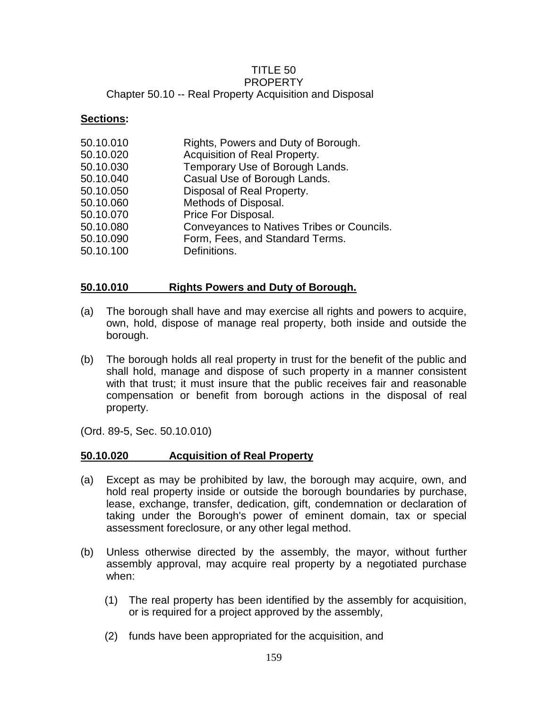#### TITLE 50 PROPERTY Chapter 50.10 -- Real Property Acquisition and Disposal

#### **Sections:**

| 50.10.010 | Rights, Powers and Duty of Borough.        |
|-----------|--------------------------------------------|
| 50.10.020 | Acquisition of Real Property.              |
| 50.10.030 | Temporary Use of Borough Lands.            |
| 50.10.040 | Casual Use of Borough Lands.               |
| 50.10.050 | Disposal of Real Property.                 |
| 50.10.060 | Methods of Disposal.                       |
| 50.10.070 | Price For Disposal.                        |
| 50.10.080 | Conveyances to Natives Tribes or Councils. |
| 50.10.090 | Form, Fees, and Standard Terms.            |
| 50.10.100 | Definitions.                               |
|           |                                            |

## **50.10.010 Rights Powers and Duty of Borough.**

- (a) The borough shall have and may exercise all rights and powers to acquire, own, hold, dispose of manage real property, both inside and outside the borough.
- (b) The borough holds all real property in trust for the benefit of the public and shall hold, manage and dispose of such property in a manner consistent with that trust; it must insure that the public receives fair and reasonable compensation or benefit from borough actions in the disposal of real property.

(Ord. 89-5, Sec. 50.10.010)

### **50.10.020 Acquisition of Real Property**

- (a) Except as may be prohibited by law, the borough may acquire, own, and hold real property inside or outside the borough boundaries by purchase, lease, exchange, transfer, dedication, gift, condemnation or declaration of taking under the Borough's power of eminent domain, tax or special assessment foreclosure, or any other legal method.
- (b) Unless otherwise directed by the assembly, the mayor, without further assembly approval, may acquire real property by a negotiated purchase when:
	- (1) The real property has been identified by the assembly for acquisition, or is required for a project approved by the assembly,
	- (2) funds have been appropriated for the acquisition, and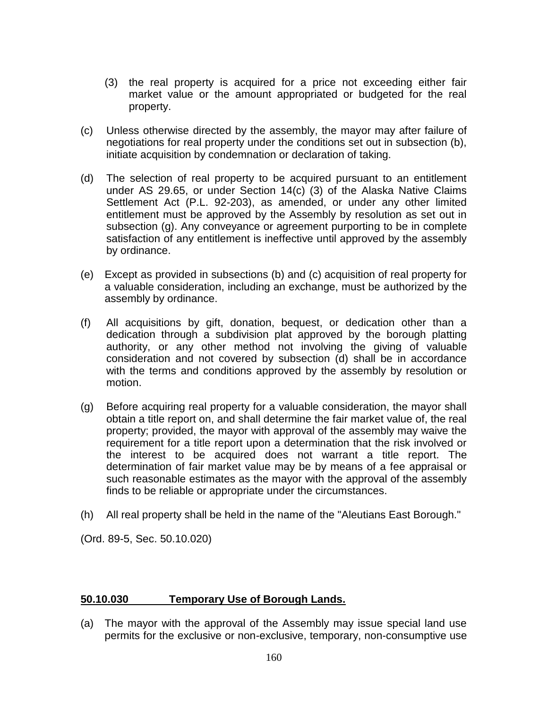- (3) the real property is acquired for a price not exceeding either fair market value or the amount appropriated or budgeted for the real property.
- (c) Unless otherwise directed by the assembly, the mayor may after failure of negotiations for real property under the conditions set out in subsection (b), initiate acquisition by condemnation or declaration of taking.
- (d) The selection of real property to be acquired pursuant to an entitlement under AS 29.65, or under Section 14(c) (3) of the Alaska Native Claims Settlement Act (P.L. 92-203), as amended, or under any other limited entitlement must be approved by the Assembly by resolution as set out in subsection (g). Any conveyance or agreement purporting to be in complete satisfaction of any entitlement is ineffective until approved by the assembly by ordinance.
- (e) Except as provided in subsections (b) and (c) acquisition of real property for a valuable consideration, including an exchange, must be authorized by the assembly by ordinance.
- (f) All acquisitions by gift, donation, bequest, or dedication other than a dedication through a subdivision plat approved by the borough platting authority, or any other method not involving the giving of valuable consideration and not covered by subsection (d) shall be in accordance with the terms and conditions approved by the assembly by resolution or motion.
- (g) Before acquiring real property for a valuable consideration, the mayor shall obtain a title report on, and shall determine the fair market value of, the real property; provided, the mayor with approval of the assembly may waive the requirement for a title report upon a determination that the risk involved or the interest to be acquired does not warrant a title report. The determination of fair market value may be by means of a fee appraisal or such reasonable estimates as the mayor with the approval of the assembly finds to be reliable or appropriate under the circumstances.
- (h) All real property shall be held in the name of the "Aleutians East Borough."

(Ord. 89-5, Sec. 50.10.020)

### **50.10.030 Temporary Use of Borough Lands.**

(a) The mayor with the approval of the Assembly may issue special land use permits for the exclusive or non-exclusive, temporary, non-consumptive use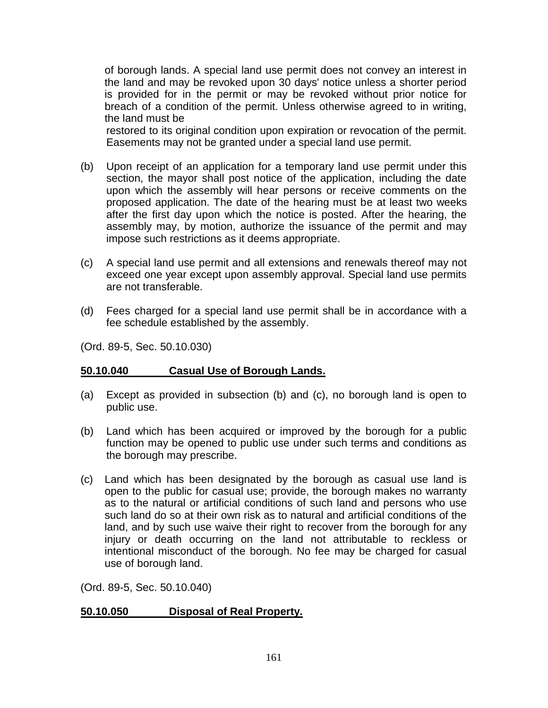of borough lands. A special land use permit does not convey an interest in the land and may be revoked upon 30 days' notice unless a shorter period is provided for in the permit or may be revoked without prior notice for breach of a condition of the permit. Unless otherwise agreed to in writing, the land must be

restored to its original condition upon expiration or revocation of the permit. Easements may not be granted under a special land use permit.

- (b) Upon receipt of an application for a temporary land use permit under this section, the mayor shall post notice of the application, including the date upon which the assembly will hear persons or receive comments on the proposed application. The date of the hearing must be at least two weeks after the first day upon which the notice is posted. After the hearing, the assembly may, by motion, authorize the issuance of the permit and may impose such restrictions as it deems appropriate.
- (c) A special land use permit and all extensions and renewals thereof may not exceed one year except upon assembly approval. Special land use permits are not transferable.
- (d) Fees charged for a special land use permit shall be in accordance with a fee schedule established by the assembly.

(Ord. 89-5, Sec. 50.10.030)

### **50.10.040 Casual Use of Borough Lands.**

- (a) Except as provided in subsection (b) and (c), no borough land is open to public use.
- (b) Land which has been acquired or improved by the borough for a public function may be opened to public use under such terms and conditions as the borough may prescribe.
- (c) Land which has been designated by the borough as casual use land is open to the public for casual use; provide, the borough makes no warranty as to the natural or artificial conditions of such land and persons who use such land do so at their own risk as to natural and artificial conditions of the land, and by such use waive their right to recover from the borough for any injury or death occurring on the land not attributable to reckless or intentional misconduct of the borough. No fee may be charged for casual use of borough land.

(Ord. 89-5, Sec. 50.10.040)

### **50.10.050 Disposal of Real Property.**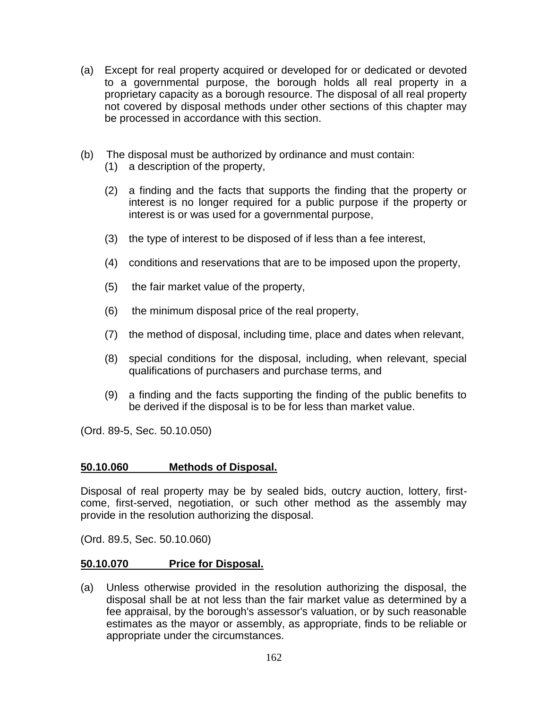- (a) Except for real property acquired or developed for or dedicated or devoted to a governmental purpose, the borough holds all real property in a proprietary capacity as a borough resource. The disposal of all real property not covered by disposal methods under other sections of this chapter may be processed in accordance with this section.
- (b) The disposal must be authorized by ordinance and must contain:
	- (1) a description of the property,
	- (2) a finding and the facts that supports the finding that the property or interest is no longer required for a public purpose if the property or interest is or was used for a governmental purpose,
	- (3) the type of interest to be disposed of if less than a fee interest,
	- (4) conditions and reservations that are to be imposed upon the property,
	- (5) the fair market value of the property,
	- (6) the minimum disposal price of the real property,
	- (7) the method of disposal, including time, place and dates when relevant,
	- (8) special conditions for the disposal, including, when relevant, special qualifications of purchasers and purchase terms, and
	- (9) a finding and the facts supporting the finding of the public benefits to be derived if the disposal is to be for less than market value.

(Ord. 89-5, Sec. 50.10.050)

### **50.10.060 Methods of Disposal.**

Disposal of real property may be by sealed bids, outcry auction, lottery, firstcome, first-served, negotiation, or such other method as the assembly may provide in the resolution authorizing the disposal.

(Ord. 89.5, Sec. 50.10.060)

### **50.10.070 Price for Disposal.**

(a) Unless otherwise provided in the resolution authorizing the disposal, the disposal shall be at not less than the fair market value as determined by a fee appraisal, by the borough's assessor's valuation, or by such reasonable estimates as the mayor or assembly, as appropriate, finds to be reliable or appropriate under the circumstances.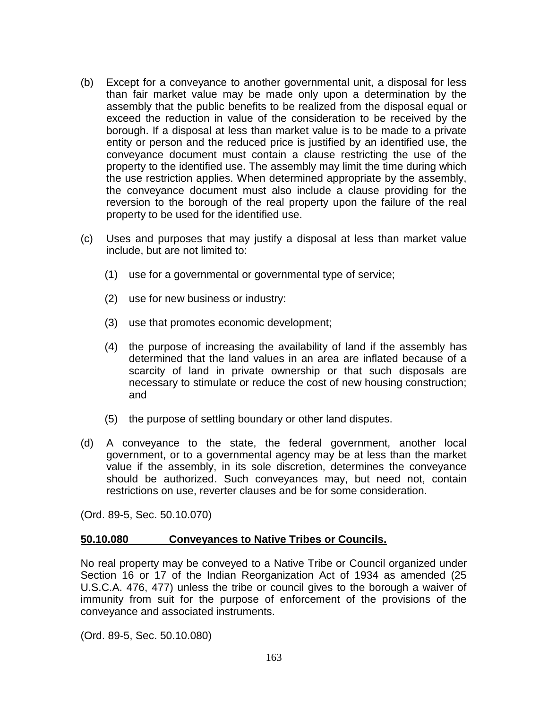- (b) Except for a conveyance to another governmental unit, a disposal for less than fair market value may be made only upon a determination by the assembly that the public benefits to be realized from the disposal equal or exceed the reduction in value of the consideration to be received by the borough. If a disposal at less than market value is to be made to a private entity or person and the reduced price is justified by an identified use, the conveyance document must contain a clause restricting the use of the property to the identified use. The assembly may limit the time during which the use restriction applies. When determined appropriate by the assembly, the conveyance document must also include a clause providing for the reversion to the borough of the real property upon the failure of the real property to be used for the identified use.
- (c) Uses and purposes that may justify a disposal at less than market value include, but are not limited to:
	- (1) use for a governmental or governmental type of service;
	- (2) use for new business or industry:
	- (3) use that promotes economic development;
	- (4) the purpose of increasing the availability of land if the assembly has determined that the land values in an area are inflated because of a scarcity of land in private ownership or that such disposals are necessary to stimulate or reduce the cost of new housing construction; and
	- (5) the purpose of settling boundary or other land disputes.
- (d) A conveyance to the state, the federal government, another local government, or to a governmental agency may be at less than the market value if the assembly, in its sole discretion, determines the conveyance should be authorized. Such conveyances may, but need not, contain restrictions on use, reverter clauses and be for some consideration.

(Ord. 89-5, Sec. 50.10.070)

#### **50.10.080 Conveyances to Native Tribes or Councils.**

No real property may be conveyed to a Native Tribe or Council organized under Section 16 or 17 of the Indian Reorganization Act of 1934 as amended (25 U.S.C.A. 476, 477) unless the tribe or council gives to the borough a waiver of immunity from suit for the purpose of enforcement of the provisions of the conveyance and associated instruments.

(Ord. 89-5, Sec. 50.10.080)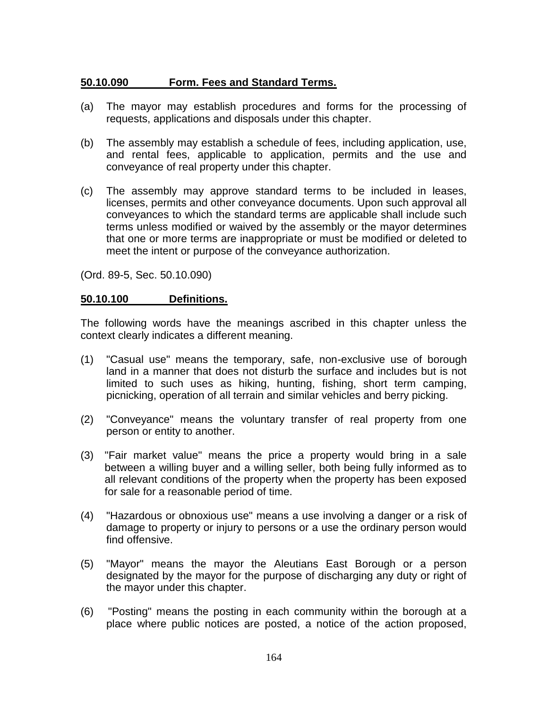## **50.10.090 Form. Fees and Standard Terms.**

- (a) The mayor may establish procedures and forms for the processing of requests, applications and disposals under this chapter.
- (b) The assembly may establish a schedule of fees, including application, use, and rental fees, applicable to application, permits and the use and conveyance of real property under this chapter.
- (c) The assembly may approve standard terms to be included in leases, licenses, permits and other conveyance documents. Upon such approval all conveyances to which the standard terms are applicable shall include such terms unless modified or waived by the assembly or the mayor determines that one or more terms are inappropriate or must be modified or deleted to meet the intent or purpose of the conveyance authorization.

(Ord. 89-5, Sec. 50.10.090)

#### **50.10.100 Definitions.**

The following words have the meanings ascribed in this chapter unless the context clearly indicates a different meaning.

- (1) "Casual use" means the temporary, safe, non-exclusive use of borough land in a manner that does not disturb the surface and includes but is not limited to such uses as hiking, hunting, fishing, short term camping, picnicking, operation of all terrain and similar vehicles and berry picking.
- (2) "Conveyance" means the voluntary transfer of real property from one person or entity to another.
- (3) "Fair market value" means the price a property would bring in a sale between a willing buyer and a willing seller, both being fully informed as to all relevant conditions of the property when the property has been exposed for sale for a reasonable period of time.
- (4) "Hazardous or obnoxious use" means a use involving a danger or a risk of damage to property or injury to persons or a use the ordinary person would find offensive.
- (5) "Mayor" means the mayor the Aleutians East Borough or a person designated by the mayor for the purpose of discharging any duty or right of the mayor under this chapter.
- (6) "Posting" means the posting in each community within the borough at a place where public notices are posted, a notice of the action proposed,